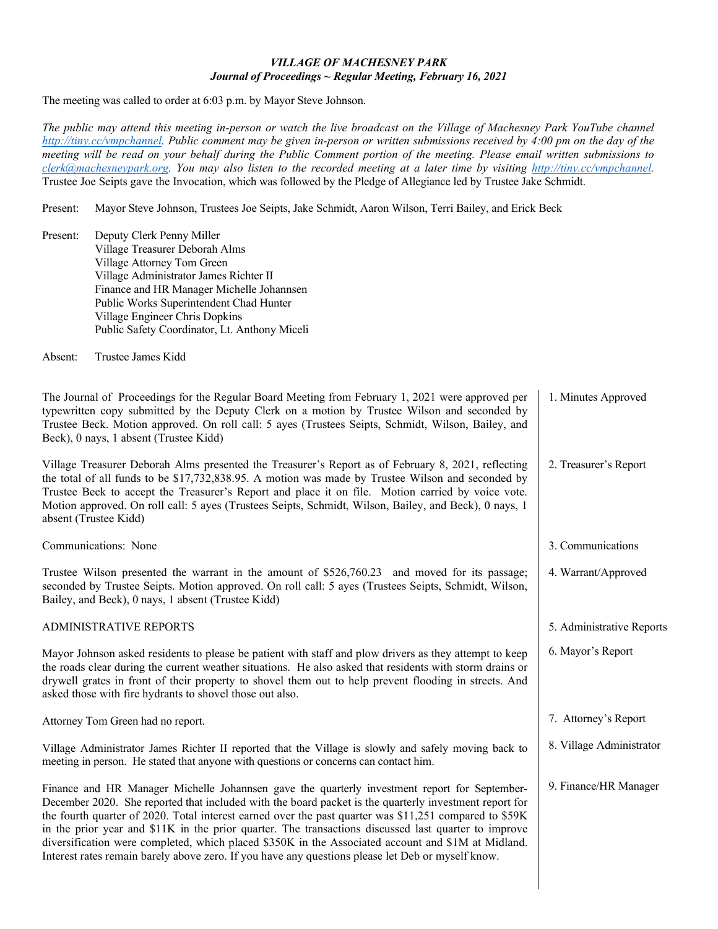## *VILLAGE OF MACHESNEY PARK Journal of Proceedings ~ Regular Meeting, February 16, 2021*

The meeting was called to order at 6:03 p.m. by Mayor Steve Johnson.

*The public may attend this meeting in-person or watch the live broadcast on the Village of Machesney Park YouTube channel [http://tiny.cc/vmpchannel.](http://tiny.cc/vmpchannel) Public comment may be given in-person or written submissions received by 4:00 pm on the day of the meeting will be read on your behalf during the Public Comment portion of the meeting. Please email written submissions to [clerk@machesneypark.org.](mailto:clerk@machesneypark.org) You may also listen to the recorded meeting at a later time by visiting [http://tiny.cc/vmpchannel.](http://tiny.cc/vmpchannel)*  Trustee Joe Seipts gave the Invocation, which was followed by the Pledge of Allegiance led by Trustee Jake Schmidt.

Present: Mayor Steve Johnson, Trustees Joe Seipts, Jake Schmidt, Aaron Wilson, Terri Bailey, and Erick Beck

Present: Deputy Clerk Penny Miller Village Treasurer Deborah Alms Village Attorney Tom Green Village Administrator James Richter II Finance and HR Manager Michelle Johannsen Public Works Superintendent Chad Hunter Village Engineer Chris Dopkins Public Safety Coordinator, Lt. Anthony Miceli

Absent: Trustee James Kidd

The Journal of Proceedings for the Regular Board Meeting from February 1, 2021 were approved per typewritten copy submitted by the Deputy Clerk on a motion by Trustee Wilson and seconded by Trustee Beck. Motion approved. On roll call: 5 ayes (Trustees Seipts, Schmidt, Wilson, Bailey, and Beck), 0 nays, 1 absent (Trustee Kidd) Village Treasurer Deborah Alms presented the Treasurer's Report as of February 8, 2021, reflecting the total of all funds to be \$17,732,838.95. A motion was made by Trustee Wilson and seconded by Trustee Beck to accept the Treasurer's Report and place it on file. Motion carried by voice vote. Motion approved. On roll call: 5 ayes (Trustees Seipts, Schmidt, Wilson, Bailey, and Beck), 0 nays, 1 absent (Trustee Kidd) Communications: None Trustee Wilson presented the warrant in the amount of \$526,760.23 and moved for its passage; seconded by Trustee Seipts. Motion approved. On roll call: 5 ayes (Trustees Seipts, Schmidt, Wilson, Bailey, and Beck), 0 nays, 1 absent (Trustee Kidd) ADMINISTRATIVE REPORTS Mayor Johnson asked residents to please be patient with staff and plow drivers as they attempt to keep the roads clear during the current weather situations. He also asked that residents with storm drains or drywell grates in front of their property to shovel them out to help prevent flooding in streets. And asked those with fire hydrants to shovel those out also. Attorney Tom Green had no report. Village Administrator James Richter II reported that the Village is slowly and safely moving back to meeting in person. He stated that anyone with questions or concerns can contact him. Finance and HR Manager Michelle Johannsen gave the quarterly investment report for September-December 2020. She reported that included with the board packet is the quarterly investment report for the fourth quarter of 2020. Total interest earned over the past quarter was \$11,251 compared to \$59K in the prior year and \$11K in the prior quarter. The transactions discussed last quarter to improve diversification were completed, which placed \$350K in the Associated account and \$1M at Midland. 1. Minutes Approved 2. Treasurer's Report 3. Communications 4. Warrant/Approved 5. Administrative Reports 6. Mayor's Report 7. Attorney's Report 8. Village Administrator 9. Finance/HR Manager

Interest rates remain barely above zero. If you have any questions please let Deb or myself know.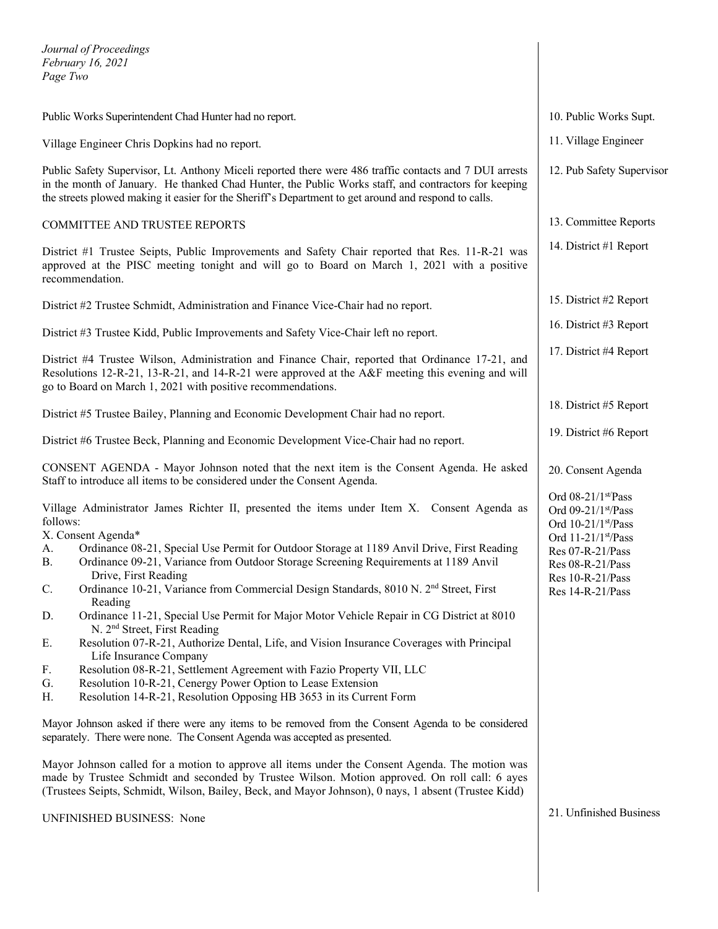*Journal of Proceedings February 16, 2021 Page Two*

| Public Works Superintendent Chad Hunter had no report.                                                                                                                                                                                                                                                                                                                                                                                                                                                                                                                                                                                                                                                                                                                                                                                                                                                                                                                                                                                                                                                                                                                        | 10. Public Works Supt.                                                                                                                                               |
|-------------------------------------------------------------------------------------------------------------------------------------------------------------------------------------------------------------------------------------------------------------------------------------------------------------------------------------------------------------------------------------------------------------------------------------------------------------------------------------------------------------------------------------------------------------------------------------------------------------------------------------------------------------------------------------------------------------------------------------------------------------------------------------------------------------------------------------------------------------------------------------------------------------------------------------------------------------------------------------------------------------------------------------------------------------------------------------------------------------------------------------------------------------------------------|----------------------------------------------------------------------------------------------------------------------------------------------------------------------|
| Village Engineer Chris Dopkins had no report.                                                                                                                                                                                                                                                                                                                                                                                                                                                                                                                                                                                                                                                                                                                                                                                                                                                                                                                                                                                                                                                                                                                                 | 11. Village Engineer                                                                                                                                                 |
| Public Safety Supervisor, Lt. Anthony Miceli reported there were 486 traffic contacts and 7 DUI arrests<br>in the month of January. He thanked Chad Hunter, the Public Works staff, and contractors for keeping<br>the streets plowed making it easier for the Sheriff's Department to get around and respond to calls.                                                                                                                                                                                                                                                                                                                                                                                                                                                                                                                                                                                                                                                                                                                                                                                                                                                       | 12. Pub Safety Supervisor                                                                                                                                            |
| COMMITTEE AND TRUSTEE REPORTS                                                                                                                                                                                                                                                                                                                                                                                                                                                                                                                                                                                                                                                                                                                                                                                                                                                                                                                                                                                                                                                                                                                                                 | 13. Committee Reports                                                                                                                                                |
| District #1 Trustee Seipts, Public Improvements and Safety Chair reported that Res. 11-R-21 was<br>approved at the PISC meeting tonight and will go to Board on March 1, 2021 with a positive<br>recommendation.                                                                                                                                                                                                                                                                                                                                                                                                                                                                                                                                                                                                                                                                                                                                                                                                                                                                                                                                                              | 14. District #1 Report                                                                                                                                               |
| District #2 Trustee Schmidt, Administration and Finance Vice-Chair had no report.                                                                                                                                                                                                                                                                                                                                                                                                                                                                                                                                                                                                                                                                                                                                                                                                                                                                                                                                                                                                                                                                                             | 15. District #2 Report                                                                                                                                               |
| District #3 Trustee Kidd, Public Improvements and Safety Vice-Chair left no report.                                                                                                                                                                                                                                                                                                                                                                                                                                                                                                                                                                                                                                                                                                                                                                                                                                                                                                                                                                                                                                                                                           | 16. District #3 Report                                                                                                                                               |
| District #4 Trustee Wilson, Administration and Finance Chair, reported that Ordinance 17-21, and<br>Resolutions 12-R-21, 13-R-21, and 14-R-21 were approved at the A&F meeting this evening and will<br>go to Board on March 1, 2021 with positive recommendations.                                                                                                                                                                                                                                                                                                                                                                                                                                                                                                                                                                                                                                                                                                                                                                                                                                                                                                           | 17. District #4 Report                                                                                                                                               |
| District #5 Trustee Bailey, Planning and Economic Development Chair had no report.                                                                                                                                                                                                                                                                                                                                                                                                                                                                                                                                                                                                                                                                                                                                                                                                                                                                                                                                                                                                                                                                                            | 18. District #5 Report                                                                                                                                               |
| District #6 Trustee Beck, Planning and Economic Development Vice-Chair had no report.                                                                                                                                                                                                                                                                                                                                                                                                                                                                                                                                                                                                                                                                                                                                                                                                                                                                                                                                                                                                                                                                                         | 19. District #6 Report                                                                                                                                               |
| CONSENT AGENDA - Mayor Johnson noted that the next item is the Consent Agenda. He asked<br>Staff to introduce all items to be considered under the Consent Agenda.                                                                                                                                                                                                                                                                                                                                                                                                                                                                                                                                                                                                                                                                                                                                                                                                                                                                                                                                                                                                            | 20. Consent Agenda                                                                                                                                                   |
| Village Administrator James Richter II, presented the items under Item X. Consent Agenda as<br>follows:<br>X. Consent Agenda*<br>Ordinance 08-21, Special Use Permit for Outdoor Storage at 1189 Anvil Drive, First Reading<br>A.<br>Ordinance 09-21, Variance from Outdoor Storage Screening Requirements at 1189 Anvil<br>В.<br>Drive, First Reading<br>Ordinance 10-21, Variance from Commercial Design Standards, 8010 N. 2 <sup>nd</sup> Street, First<br>C.<br>Reading<br>Ordinance 11-21, Special Use Permit for Major Motor Vehicle Repair in CG District at 8010<br>D.<br>N. 2 <sup>nd</sup> Street, First Reading<br>Resolution 07-R-21, Authorize Dental, Life, and Vision Insurance Coverages with Principal<br>Ε.<br>Life Insurance Company<br>Resolution 08-R-21, Settlement Agreement with Fazio Property VII, LLC<br>F.<br>Resolution 10-R-21, Cenergy Power Option to Lease Extension<br>G.<br>Resolution 14-R-21, Resolution Opposing HB 3653 in its Current Form<br>Н.<br>Mayor Johnson asked if there were any items to be removed from the Consent Agenda to be considered<br>separately. There were none. The Consent Agenda was accepted as presented. | Ord 08-21/1st/Pass<br>Ord 09-21/1st/Pass<br>Ord 10-21/1st/Pass<br>Ord 11-21/1st/Pass<br>Res 07-R-21/Pass<br>Res 08-R-21/Pass<br>Res 10-R-21/Pass<br>Res 14-R-21/Pass |
| Mayor Johnson called for a motion to approve all items under the Consent Agenda. The motion was<br>made by Trustee Schmidt and seconded by Trustee Wilson. Motion approved. On roll call: 6 ayes                                                                                                                                                                                                                                                                                                                                                                                                                                                                                                                                                                                                                                                                                                                                                                                                                                                                                                                                                                              |                                                                                                                                                                      |

(Trustees Seipts, Schmidt, Wilson, Bailey, Beck, and Mayor Johnson), 0 nays, 1 absent (Trustee Kidd)

UNFINISHED BUSINESS: None

21. Unfinished Business